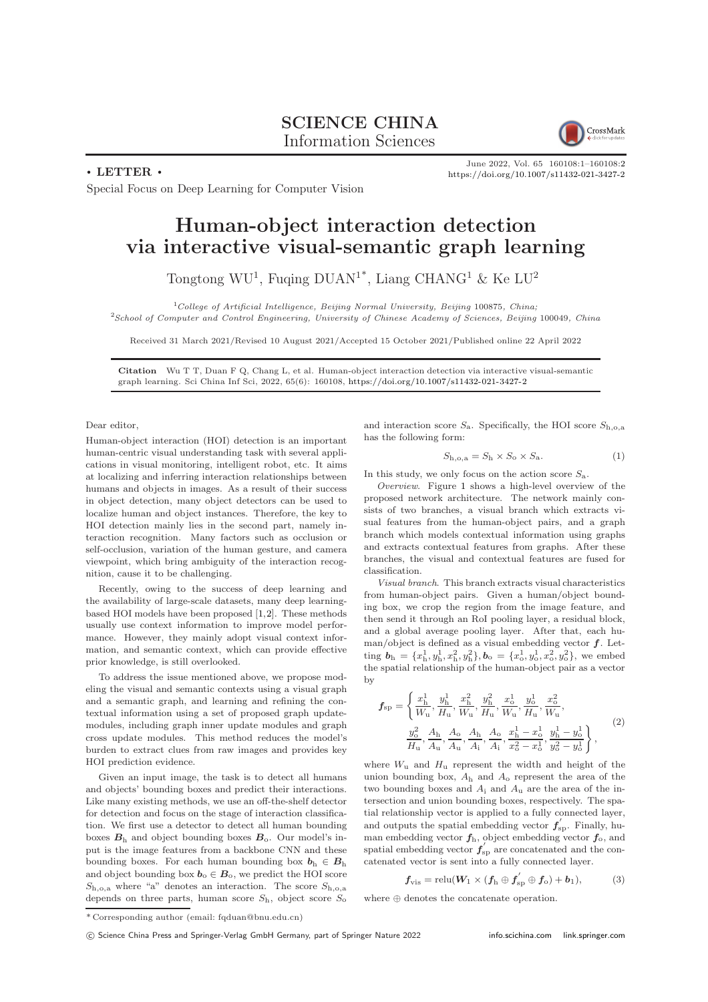## SCIENCE CHINA Information Sciences



June 2022, Vol. 65 160108:1–160108[:2](#page-1-0) <https://doi.org/10.1007/s11432-021-3427-2>

 $\cdot$  LETTER  $\cdot$ 

Special Focus on Deep Learning for Computer Vision

## Human-object interaction detection via interactive visual-semantic graph learning

Tongtong WU<sup>1</sup>, Fuqing DUAN<sup>1\*</sup>, Liang CHANG<sup>1</sup> & Ke LU<sup>2</sup>

 $1$ College of Artificial Intelligence, Beijing Normal University, Beijing 100875, China;

<sup>2</sup>School of Computer and Control Engineering, University of Chinese Academy of Sciences, Beijing 100049, China

Received 31 March 2021/Revised 10 August 2021/Accepted 15 October 2021/Published online 22 April 2022

Citation Wu T T, Duan F Q, Chang L, et al. Human-object interaction detection via interactive visual-semantic graph learning. Sci China Inf Sci, 2022, 65(6): 160108, <https://doi.org/10.1007/s11432-021-3427-2>

Dear editor,

Human-object interaction (HOI) detection is an important human-centric visual understanding task with several applications in visual monitoring, intelligent robot, etc. It aims at localizing and inferring interaction relationships between humans and objects in images. As a result of their success in object detection, many object detectors can be used to localize human and object instances. Therefore, the key to HOI detection mainly lies in the second part, namely interaction recognition. Many factors such as occlusion or self-occlusion, variation of the human gesture, and camera viewpoint, which bring ambiguity of the interaction recognition, cause it to be challenging.

Recently, owing to the success of deep learning and the availability of large-scale datasets, many deep learningbased HOI models have been proposed [\[1,](#page-1-1)[2\]](#page-1-2). These methods usually use context information to improve model performance. However, they mainly adopt visual context information, and semantic context, which can provide effective prior knowledge, is still overlooked.

To address the issue mentioned above, we propose modeling the visual and semantic contexts using a visual graph and a semantic graph, and learning and refining the contextual information using a set of proposed graph updatemodules, including graph inner update modules and graph cross update modules. This method reduces the model's burden to extract clues from raw images and provides key HOI prediction evidence.

Given an input image, the task is to detect all humans and objects' bounding boxes and predict their interactions. Like many existing methods, we use an off-the-shelf detector for detection and focus on the stage of interaction classification. We first use a detector to detect all human bounding boxes  $B<sub>h</sub>$  and object bounding boxes  $B<sub>o</sub>$ . Our model's input is the image features from a backbone CNN and these bounding boxes. For each human bounding box  $b_h \in B_h$ and object bounding box  $b_0 \in B_0$ , we predict the HOI score  $S_{h,o,a}$  where "a" denotes an interaction. The score  $S_{h,o,a}$ depends on three parts, human score  $S_h$ , object score  $S_o$ 

and interaction score  $S_a$ . Specifically, the HOI score  $S_{b,0,a}$ has the following form:

$$
S_{\rm h,o,a} = S_{\rm h} \times S_{\rm o} \times S_{\rm a}.\tag{1}
$$

In this study, we only focus on the action score  $S_a$ .

Overview. Figure [1](#page-1-3) shows a high-level overview of the proposed network architecture. The network mainly consists of two branches, a visual branch which extracts visual features from the human-object pairs, and a graph branch which models contextual information using graphs and extracts contextual features from graphs. After these branches, the visual and contextual features are fused for classification.

Visual branch. This branch extracts visual characteristics from human-object pairs. Given a human/object bounding box, we crop the region from the image feature, and then send it through an RoI pooling layer, a residual block, and a global average pooling layer. After that, each human/object is defined as a visual embedding vector  $f$ . Letting  $\mathbf{b}_{h} = \{x_{h}^{1}, y_{h}^{1}, x_{h}^{2}, y_{h}^{2}\}, \mathbf{b}_{o} = \{x_{o}^{1}, y_{o}^{1}, x_{o}^{2}, y_{o}^{2}\},$  we embed the spatial relationship of the human-object pair as a vector by

$$
\mathbf{f}_{\rm sp} = \left\{ \frac{x_{\rm h}^1}{W_{\rm u}}, \frac{y_{\rm h}^1}{H_{\rm u}}, \frac{x_{\rm h}^2}{W_{\rm u}}, \frac{y_{\rm h}^2}{H_{\rm u}}, \frac{x_{\rm o}^1}{W_{\rm u}}, \frac{y_{\rm o}^1}{H_{\rm u}}, \frac{x_{\rm o}^2}{W_{\rm u}}, \frac{x_{\rm o}^2}{W_{\rm u}}, \frac{y_{\rm o}^2}{H_{\rm u}}, \frac{A_{\rm h}}{A_{\rm u}}, \frac{A_{\rm o}}{A_{\rm h}}, \frac{A_{\rm o}}{A_{\rm i}}, \frac{x_{\rm h}^1 - x_{\rm o}^1}{x_{\rm o}^2 - x_{\rm o}^1}, \frac{y_{\rm h}^1 - y_{\rm o}^1}{y_{\rm o}^2 - y_{\rm o}^1} \right\},
$$
\n(2)

where  $W_{\rm u}$  and  $H_{\rm u}$  represent the width and height of the union bounding box,  $A_h$  and  $A_o$  represent the area of the two bounding boxes and  $A_i$  and  $A_{ii}$  are the area of the intersection and union bounding boxes, respectively. The spatial relationship vector is applied to a fully connected layer, and outputs the spatial embedding vector  $f'_{\text{sp}}$ . Finally, human embedding vector  $f_h$ , object embedding vector  $f_o$ , and spatial embedding vector  $f'_{\text{sp}}$  are concatenated and the concatenated vector is sent into a fully connected layer.

$$
f_{\rm vis} = \text{relu}(W_1 \times (f_{\rm h} \oplus f_{\rm sp}' \oplus f_{\rm o}) + b_1), \tag{3}
$$

where ⊕ denotes the concatenate operation.

c Science China Press and Springer-Verlag GmbH Germany, part of Springer Nature 2022 <info.scichina.com><link.springer.com>

<sup>\*</sup> Corresponding author (email: fqduan@bnu.edu.cn)